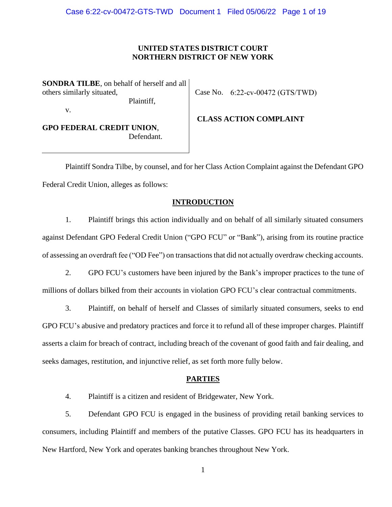### **UNITED STATES DISTRICT COURT NORTHERN DISTRICT OF NEW YORK**

**SONDRA TILBE**, on behalf of herself and all others similarly situated, Plaintiff,

v.

Case No. 6:22-cv-00472 (GTS/TWD)

**GPO FEDERAL CREDIT UNION**, Defendant.  **CLASS ACTION COMPLAINT**

Plaintiff Sondra Tilbe, by counsel, and for her Class Action Complaint against the Defendant GPO Federal Credit Union, alleges as follows:

# **INTRODUCTION**

1. Plaintiff brings this action individually and on behalf of all similarly situated consumers against Defendant GPO Federal Credit Union ("GPO FCU" or "Bank"), arising from its routine practice of assessing an overdraft fee ("OD Fee") on transactions that did not actually overdraw checking accounts.

2. GPO FCU's customers have been injured by the Bank's improper practices to the tune of millions of dollars bilked from their accounts in violation GPO FCU's clear contractual commitments.

3. Plaintiff, on behalf of herself and Classes of similarly situated consumers, seeks to end GPO FCU's abusive and predatory practices and force it to refund all of these improper charges. Plaintiff asserts a claim for breach of contract, including breach of the covenant of good faith and fair dealing, and seeks damages, restitution, and injunctive relief, as set forth more fully below.

### **PARTIES**

4. Plaintiff is a citizen and resident of Bridgewater, New York.

5. Defendant GPO FCU is engaged in the business of providing retail banking services to consumers, including Plaintiff and members of the putative Classes. GPO FCU has its headquarters in New Hartford, New York and operates banking branches throughout New York.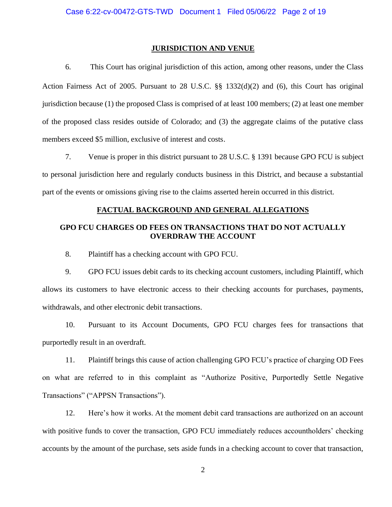#### **JURISDICTION AND VENUE**

6. This Court has original jurisdiction of this action, among other reasons, under the Class Action Fairness Act of 2005. Pursuant to 28 U.S.C. §§ 1332(d)(2) and (6), this Court has original jurisdiction because (1) the proposed Class is comprised of at least 100 members; (2) at least one member of the proposed class resides outside of Colorado; and (3) the aggregate claims of the putative class members exceed \$5 million, exclusive of interest and costs.

7. Venue is proper in this district pursuant to 28 U.S.C. § 1391 because GPO FCU is subject to personal jurisdiction here and regularly conducts business in this District, and because a substantial part of the events or omissions giving rise to the claims asserted herein occurred in this district.

### **FACTUAL BACKGROUND AND GENERAL ALLEGATIONS**

## **GPO FCU CHARGES OD FEES ON TRANSACTIONS THAT DO NOT ACTUALLY OVERDRAW THE ACCOUNT**

8. Plaintiff has a checking account with GPO FCU.

9. GPO FCU issues debit cards to its checking account customers, including Plaintiff, which allows its customers to have electronic access to their checking accounts for purchases, payments, withdrawals, and other electronic debit transactions.

10. Pursuant to its Account Documents, GPO FCU charges fees for transactions that purportedly result in an overdraft.

11. Plaintiff brings this cause of action challenging GPO FCU's practice of charging OD Fees on what are referred to in this complaint as "Authorize Positive, Purportedly Settle Negative Transactions" ("APPSN Transactions").

12. Here's how it works. At the moment debit card transactions are authorized on an account with positive funds to cover the transaction, GPO FCU immediately reduces accountholders' checking accounts by the amount of the purchase, sets aside funds in a checking account to cover that transaction,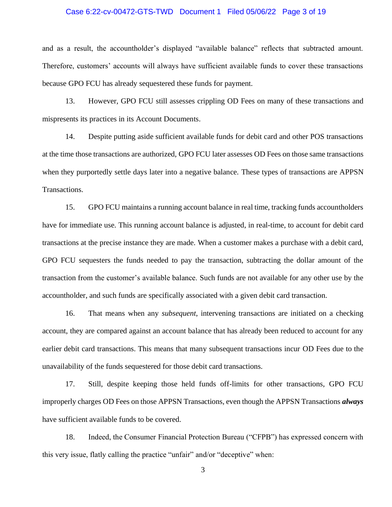### Case 6:22-cv-00472-GTS-TWD Document 1 Filed 05/06/22 Page 3 of 19

and as a result, the accountholder's displayed "available balance" reflects that subtracted amount. Therefore, customers' accounts will always have sufficient available funds to cover these transactions because GPO FCU has already sequestered these funds for payment.

13. However, GPO FCU still assesses crippling OD Fees on many of these transactions and mispresents its practices in its Account Documents.

14. Despite putting aside sufficient available funds for debit card and other POS transactions at the time those transactions are authorized, GPO FCU later assesses OD Fees on those same transactions when they purportedly settle days later into a negative balance. These types of transactions are APPSN Transactions.

15. GPO FCU maintains a running account balance in real time, tracking funds accountholders have for immediate use. This running account balance is adjusted, in real-time, to account for debit card transactions at the precise instance they are made. When a customer makes a purchase with a debit card, GPO FCU sequesters the funds needed to pay the transaction, subtracting the dollar amount of the transaction from the customer's available balance. Such funds are not available for any other use by the accountholder, and such funds are specifically associated with a given debit card transaction.

16. That means when any *subsequent*, intervening transactions are initiated on a checking account, they are compared against an account balance that has already been reduced to account for any earlier debit card transactions. This means that many subsequent transactions incur OD Fees due to the unavailability of the funds sequestered for those debit card transactions.

17. Still, despite keeping those held funds off-limits for other transactions, GPO FCU improperly charges OD Fees on those APPSN Transactions, even though the APPSN Transactions *always* have sufficient available funds to be covered.

18. Indeed, the Consumer Financial Protection Bureau ("CFPB") has expressed concern with this very issue, flatly calling the practice "unfair" and/or "deceptive" when: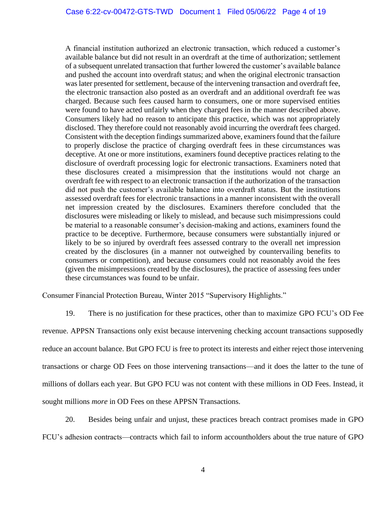A financial institution authorized an electronic transaction, which reduced a customer's available balance but did not result in an overdraft at the time of authorization; settlement of a subsequent unrelated transaction that further lowered the customer's available balance and pushed the account into overdraft status; and when the original electronic transaction was later presented for settlement, because of the intervening transaction and overdraft fee, the electronic transaction also posted as an overdraft and an additional overdraft fee was charged. Because such fees caused harm to consumers, one or more supervised entities were found to have acted unfairly when they charged fees in the manner described above. Consumers likely had no reason to anticipate this practice, which was not appropriately disclosed. They therefore could not reasonably avoid incurring the overdraft fees charged. Consistent with the deception findings summarized above, examiners found that the failure to properly disclose the practice of charging overdraft fees in these circumstances was deceptive. At one or more institutions, examiners found deceptive practices relating to the disclosure of overdraft processing logic for electronic transactions. Examiners noted that these disclosures created a misimpression that the institutions would not charge an overdraft fee with respect to an electronic transaction if the authorization of the transaction did not push the customer's available balance into overdraft status. But the institutions assessed overdraft fees for electronic transactions in a manner inconsistent with the overall net impression created by the disclosures. Examiners therefore concluded that the disclosures were misleading or likely to mislead, and because such misimpressions could be material to a reasonable consumer's decision-making and actions, examiners found the practice to be deceptive. Furthermore, because consumers were substantially injured or likely to be so injured by overdraft fees assessed contrary to the overall net impression created by the disclosures (in a manner not outweighed by countervailing benefits to consumers or competition), and because consumers could not reasonably avoid the fees (given the misimpressions created by the disclosures), the practice of assessing fees under these circumstances was found to be unfair.

Consumer Financial Protection Bureau, Winter 2015 "Supervisory Highlights."

19. There is no justification for these practices, other than to maximize GPO FCU's OD Fee revenue. APPSN Transactions only exist because intervening checking account transactions supposedly reduce an account balance. But GPO FCU is free to protect its interests and either reject those intervening transactions or charge OD Fees on those intervening transactions—and it does the latter to the tune of millions of dollars each year. But GPO FCU was not content with these millions in OD Fees. Instead, it sought millions *more* in OD Fees on these APPSN Transactions.

20. Besides being unfair and unjust, these practices breach contract promises made in GPO FCU's adhesion contracts—contracts which fail to inform accountholders about the true nature of GPO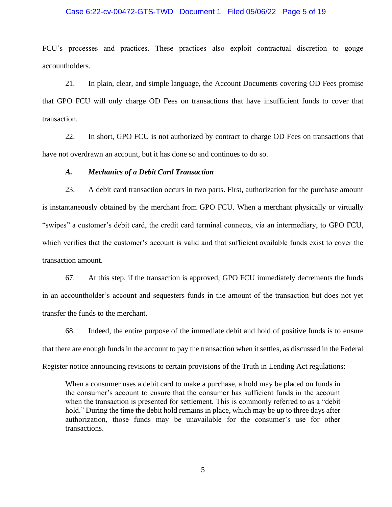### Case 6:22-cv-00472-GTS-TWD Document 1 Filed 05/06/22 Page 5 of 19

FCU's processes and practices. These practices also exploit contractual discretion to gouge accountholders.

21. In plain, clear, and simple language, the Account Documents covering OD Fees promise that GPO FCU will only charge OD Fees on transactions that have insufficient funds to cover that transaction.

22. In short, GPO FCU is not authorized by contract to charge OD Fees on transactions that have not overdrawn an account, but it has done so and continues to do so.

### *A. Mechanics of a Debit Card Transaction*

23. A debit card transaction occurs in two parts. First, authorization for the purchase amount is instantaneously obtained by the merchant from GPO FCU. When a merchant physically or virtually "swipes" a customer's debit card, the credit card terminal connects, via an intermediary, to GPO FCU, which verifies that the customer's account is valid and that sufficient available funds exist to cover the transaction amount.

67. At this step, if the transaction is approved, GPO FCU immediately decrements the funds in an accountholder's account and sequesters funds in the amount of the transaction but does not yet transfer the funds to the merchant.

68. Indeed, the entire purpose of the immediate debit and hold of positive funds is to ensure that there are enough funds in the account to pay the transaction when it settles, as discussed in the Federal Register notice announcing revisions to certain provisions of the Truth in Lending Act regulations:

When a consumer uses a debit card to make a purchase, a hold may be placed on funds in the consumer's account to ensure that the consumer has sufficient funds in the account when the transaction is presented for settlement. This is commonly referred to as a "debit hold." During the time the debit hold remains in place, which may be up to three days after authorization, those funds may be unavailable for the consumer's use for other transactions.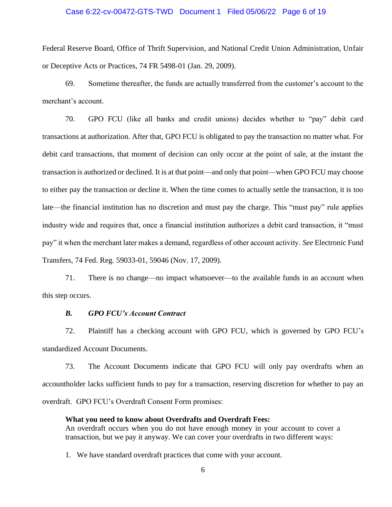### Case 6:22-cv-00472-GTS-TWD Document 1 Filed 05/06/22 Page 6 of 19

Federal Reserve Board, Office of Thrift Supervision, and National Credit Union Administration, Unfair or Deceptive Acts or Practices, 74 FR 5498-01 (Jan. 29, 2009).

69. Sometime thereafter, the funds are actually transferred from the customer's account to the merchant's account.

70. GPO FCU (like all banks and credit unions) decides whether to "pay" debit card transactions at authorization. After that, GPO FCU is obligated to pay the transaction no matter what. For debit card transactions, that moment of decision can only occur at the point of sale, at the instant the transaction is authorized or declined. It is at that point—and only that point—when GPO FCU may choose to either pay the transaction or decline it. When the time comes to actually settle the transaction, it is too late—the financial institution has no discretion and must pay the charge. This "must pay" rule applies industry wide and requires that, once a financial institution authorizes a debit card transaction, it "must pay" it when the merchant later makes a demand, regardless of other account activity. *See* Electronic Fund Transfers, 74 Fed. Reg. 59033-01, 59046 (Nov. 17, 2009).

71. There is no change—no impact whatsoever—to the available funds in an account when this step occurs.

### *B. GPO FCU's Account Contract*

72. Plaintiff has a checking account with GPO FCU, which is governed by GPO FCU's standardized Account Documents.

73. The Account Documents indicate that GPO FCU will only pay overdrafts when an accountholder lacks sufficient funds to pay for a transaction, reserving discretion for whether to pay an overdraft. GPO FCU's Overdraft Consent Form promises:

### **What you need to know about Overdrafts and Overdraft Fees:**

An overdraft occurs when you do not have enough money in your account to cover a transaction, but we pay it anyway. We can cover your overdrafts in two different ways:

1. We have standard overdraft practices that come with your account.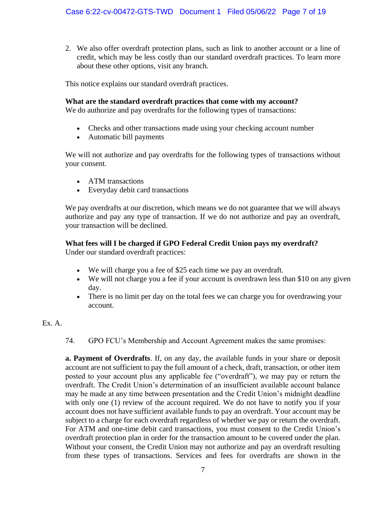2. We also offer overdraft protection plans, such as link to another account or a line of credit, which may be less costly than our standard overdraft practices. To learn more about these other options, visit any branch.

This notice explains our standard overdraft practices.

# **What are the standard overdraft practices that come with my account?**

We do authorize and pay overdrafts for the following types of transactions:

- Checks and other transactions made using your checking account number
- Automatic bill payments

We will not authorize and pay overdrafts for the following types of transactions without your consent.

- ATM transactions
- Everyday debit card transactions

We pay overdrafts at our discretion, which means we do not guarantee that we will always authorize and pay any type of transaction. If we do not authorize and pay an overdraft, your transaction will be declined.

# **What fees will I be charged if GPO Federal Credit Union pays my overdraft?**

Under our standard overdraft practices:

- We will charge you a fee of \$25 each time we pay an overdraft.
- We will not charge you a fee if your account is overdrawn less than \$10 on any given day.
- There is no limit per day on the total fees we can charge you for overdrawing your account.

# Ex. A.

74. GPO FCU's Membership and Account Agreement makes the same promises:

**a. Payment of Overdrafts**. If, on any day, the available funds in your share or deposit account are not sufficient to pay the full amount of a check, draft, transaction, or other item posted to your account plus any applicable fee ("overdraft"), we may pay or return the overdraft. The Credit Union's determination of an insufficient available account balance may be made at any time between presentation and the Credit Union's midnight deadline with only one (1) review of the account required. We do not have to notify you if your account does not have sufficient available funds to pay an overdraft. Your account may be subject to a charge for each overdraft regardless of whether we pay or return the overdraft. For ATM and one-time debit card transactions, you must consent to the Credit Union's overdraft protection plan in order for the transaction amount to be covered under the plan. Without your consent, the Credit Union may not authorize and pay an overdraft resulting from these types of transactions. Services and fees for overdrafts are shown in the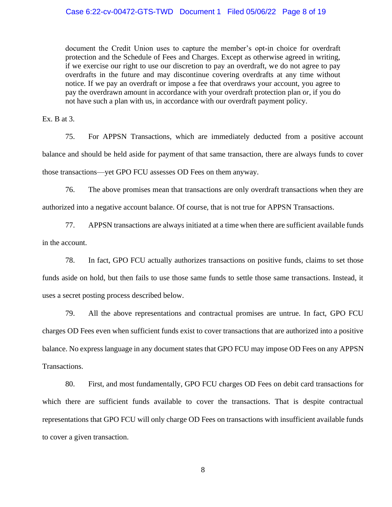document the Credit Union uses to capture the member's opt-in choice for overdraft protection and the Schedule of Fees and Charges. Except as otherwise agreed in writing, if we exercise our right to use our discretion to pay an overdraft, we do not agree to pay overdrafts in the future and may discontinue covering overdrafts at any time without notice. If we pay an overdraft or impose a fee that overdraws your account, you agree to pay the overdrawn amount in accordance with your overdraft protection plan or, if you do not have such a plan with us, in accordance with our overdraft payment policy.

Ex. B at 3.

75. For APPSN Transactions, which are immediately deducted from a positive account balance and should be held aside for payment of that same transaction, there are always funds to cover those transactions—yet GPO FCU assesses OD Fees on them anyway.

76. The above promises mean that transactions are only overdraft transactions when they are authorized into a negative account balance. Of course, that is not true for APPSN Transactions.

77. APPSN transactions are always initiated at a time when there are sufficient available funds in the account.

78. In fact, GPO FCU actually authorizes transactions on positive funds, claims to set those funds aside on hold, but then fails to use those same funds to settle those same transactions. Instead, it uses a secret posting process described below.

79. All the above representations and contractual promises are untrue. In fact, GPO FCU charges OD Fees even when sufficient funds exist to cover transactions that are authorized into a positive balance. No express language in any document states that GPO FCU may impose OD Fees on any APPSN Transactions.

80. First, and most fundamentally, GPO FCU charges OD Fees on debit card transactions for which there are sufficient funds available to cover the transactions. That is despite contractual representations that GPO FCU will only charge OD Fees on transactions with insufficient available funds to cover a given transaction.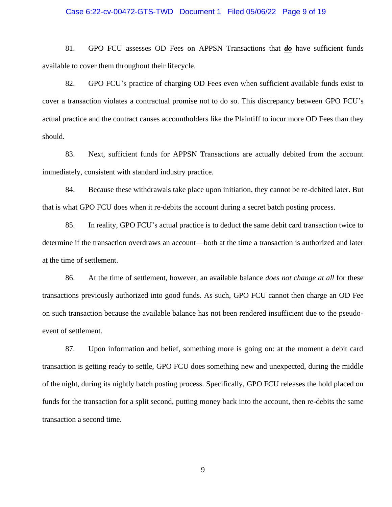# Case 6:22-cv-00472-GTS-TWD Document 1 Filed 05/06/22 Page 9 of 19

81. GPO FCU assesses OD Fees on APPSN Transactions that *do* have sufficient funds available to cover them throughout their lifecycle.

82. GPO FCU's practice of charging OD Fees even when sufficient available funds exist to cover a transaction violates a contractual promise not to do so. This discrepancy between GPO FCU's actual practice and the contract causes accountholders like the Plaintiff to incur more OD Fees than they should.

83. Next, sufficient funds for APPSN Transactions are actually debited from the account immediately, consistent with standard industry practice.

84. Because these withdrawals take place upon initiation, they cannot be re-debited later. But that is what GPO FCU does when it re-debits the account during a secret batch posting process.

85. In reality, GPO FCU's actual practice is to deduct the same debit card transaction twice to determine if the transaction overdraws an account—both at the time a transaction is authorized and later at the time of settlement.

86. At the time of settlement, however, an available balance *does not change at all* for these transactions previously authorized into good funds. As such, GPO FCU cannot then charge an OD Fee on such transaction because the available balance has not been rendered insufficient due to the pseudoevent of settlement.

87. Upon information and belief, something more is going on: at the moment a debit card transaction is getting ready to settle, GPO FCU does something new and unexpected, during the middle of the night, during its nightly batch posting process. Specifically, GPO FCU releases the hold placed on funds for the transaction for a split second, putting money back into the account, then re-debits the same transaction a second time.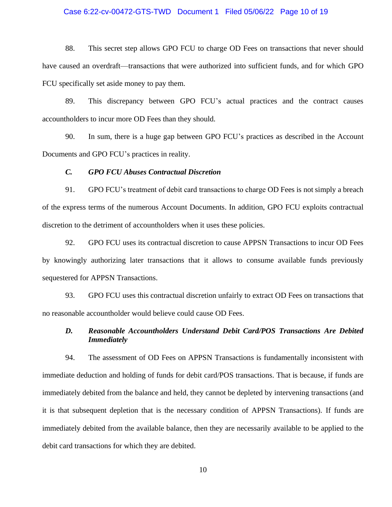### Case 6:22-cv-00472-GTS-TWD Document 1 Filed 05/06/22 Page 10 of 19

88. This secret step allows GPO FCU to charge OD Fees on transactions that never should have caused an overdraft—transactions that were authorized into sufficient funds, and for which GPO FCU specifically set aside money to pay them.

89. This discrepancy between GPO FCU's actual practices and the contract causes accountholders to incur more OD Fees than they should.

90. In sum, there is a huge gap between GPO FCU's practices as described in the Account Documents and GPO FCU's practices in reality.

#### *C. GPO FCU Abuses Contractual Discretion*

91. GPO FCU's treatment of debit card transactions to charge OD Fees is not simply a breach of the express terms of the numerous Account Documents. In addition, GPO FCU exploits contractual discretion to the detriment of accountholders when it uses these policies.

92. GPO FCU uses its contractual discretion to cause APPSN Transactions to incur OD Fees by knowingly authorizing later transactions that it allows to consume available funds previously sequestered for APPSN Transactions.

93. GPO FCU uses this contractual discretion unfairly to extract OD Fees on transactions that no reasonable accountholder would believe could cause OD Fees.

# *D. Reasonable Accountholders Understand Debit Card/POS Transactions Are Debited Immediately*

94. The assessment of OD Fees on APPSN Transactions is fundamentally inconsistent with immediate deduction and holding of funds for debit card/POS transactions. That is because, if funds are immediately debited from the balance and held, they cannot be depleted by intervening transactions (and it is that subsequent depletion that is the necessary condition of APPSN Transactions). If funds are immediately debited from the available balance, then they are necessarily available to be applied to the debit card transactions for which they are debited.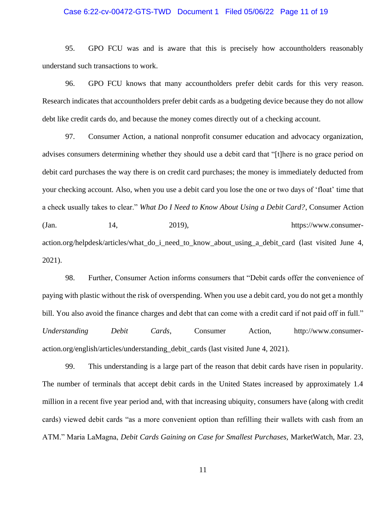### Case 6:22-cv-00472-GTS-TWD Document 1 Filed 05/06/22 Page 11 of 19

95. GPO FCU was and is aware that this is precisely how accountholders reasonably understand such transactions to work.

96. GPO FCU knows that many accountholders prefer debit cards for this very reason. Research indicates that accountholders prefer debit cards as a budgeting device because they do not allow debt like credit cards do, and because the money comes directly out of a checking account.

97. Consumer Action, a national nonprofit consumer education and advocacy organization, advises consumers determining whether they should use a debit card that "[t]here is no grace period on debit card purchases the way there is on credit card purchases; the money is immediately deducted from your checking account. Also, when you use a debit card you lose the one or two days of 'float' time that a check usually takes to clear." *What Do I Need to Know About Using a Debit Card?*, Consumer Action  $\lambda$  (Jan. 14, 2019), https://www.consumeraction.org/helpdesk/articles/what\_do\_i\_need\_to\_know\_about\_using\_a\_debit\_card (last visited June 4, 2021).

98. Further, Consumer Action informs consumers that "Debit cards offer the convenience of paying with plastic without the risk of overspending. When you use a debit card, you do not get a monthly bill. You also avoid the finance charges and debt that can come with a credit card if not paid off in full." *Understanding Debit Cards*, Consumer Action, http://www.consumeraction.org/english/articles/understanding\_debit\_cards (last visited June 4, 2021).

99. This understanding is a large part of the reason that debit cards have risen in popularity. The number of terminals that accept debit cards in the United States increased by approximately 1.4 million in a recent five year period and, with that increasing ubiquity, consumers have (along with credit cards) viewed debit cards "as a more convenient option than refilling their wallets with cash from an ATM." Maria LaMagna, *Debit Cards Gaining on Case for Smallest Purchases,* MarketWatch, Mar. 23,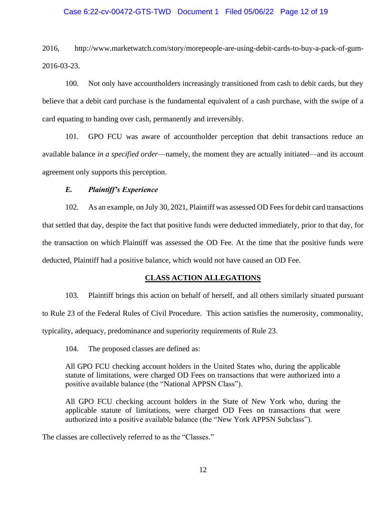### Case 6:22-cv-00472-GTS-TWD Document 1 Filed 05/06/22 Page 12 of 19

2016, http://www.marketwatch.com/story/morepeople-are-using-debit-cards-to-buy-a-pack-of-gum-2016-03-23.

100. Not only have accountholders increasingly transitioned from cash to debit cards, but they believe that a debit card purchase is the fundamental equivalent of a cash purchase, with the swipe of a card equating to handing over cash, permanently and irreversibly.

101. GPO FCU was aware of accountholder perception that debit transactions reduce an available balance *in a specified order*—namely, the moment they are actually initiated—and its account agreement only supports this perception.

### *E. Plaintiff's Experience*

102. As an example, on July 30, 2021, Plaintiff was assessed OD Feesfor debit card transactions that settled that day, despite the fact that positive funds were deducted immediately, prior to that day, for the transaction on which Plaintiff was assessed the OD Fee. At the time that the positive funds were deducted, Plaintiff had a positive balance, which would not have caused an OD Fee.

### **CLASS ACTION ALLEGATIONS**

103. Plaintiff brings this action on behalf of herself, and all others similarly situated pursuant to Rule 23 of the Federal Rules of Civil Procedure. This action satisfies the numerosity, commonality, typicality, adequacy, predominance and superiority requirements of Rule 23.

104. The proposed classes are defined as:

All GPO FCU checking account holders in the United States who, during the applicable statute of limitations, were charged OD Fees on transactions that were authorized into a positive available balance (the "National APPSN Class").

All GPO FCU checking account holders in the State of New York who, during the applicable statute of limitations, were charged OD Fees on transactions that were authorized into a positive available balance (the "New York APPSN Subclass").

The classes are collectively referred to as the "Classes."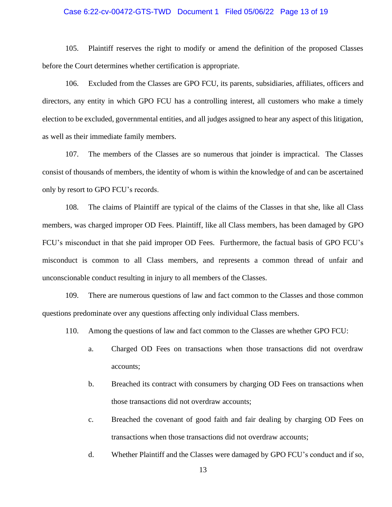### Case 6:22-cv-00472-GTS-TWD Document 1 Filed 05/06/22 Page 13 of 19

105. Plaintiff reserves the right to modify or amend the definition of the proposed Classes before the Court determines whether certification is appropriate.

106. Excluded from the Classes are GPO FCU, its parents, subsidiaries, affiliates, officers and directors, any entity in which GPO FCU has a controlling interest, all customers who make a timely election to be excluded, governmental entities, and all judges assigned to hear any aspect of this litigation, as well as their immediate family members.

107. The members of the Classes are so numerous that joinder is impractical. The Classes consist of thousands of members, the identity of whom is within the knowledge of and can be ascertained only by resort to GPO FCU's records.

108. The claims of Plaintiff are typical of the claims of the Classes in that she, like all Class members, was charged improper OD Fees. Plaintiff, like all Class members, has been damaged by GPO FCU's misconduct in that she paid improper OD Fees. Furthermore, the factual basis of GPO FCU's misconduct is common to all Class members, and represents a common thread of unfair and unconscionable conduct resulting in injury to all members of the Classes.

109. There are numerous questions of law and fact common to the Classes and those common questions predominate over any questions affecting only individual Class members.

- 110. Among the questions of law and fact common to the Classes are whether GPO FCU:
	- a. Charged OD Fees on transactions when those transactions did not overdraw accounts;
	- b. Breached its contract with consumers by charging OD Fees on transactions when those transactions did not overdraw accounts;
	- c. Breached the covenant of good faith and fair dealing by charging OD Fees on transactions when those transactions did not overdraw accounts;
	- d. Whether Plaintiff and the Classes were damaged by GPO FCU's conduct and if so,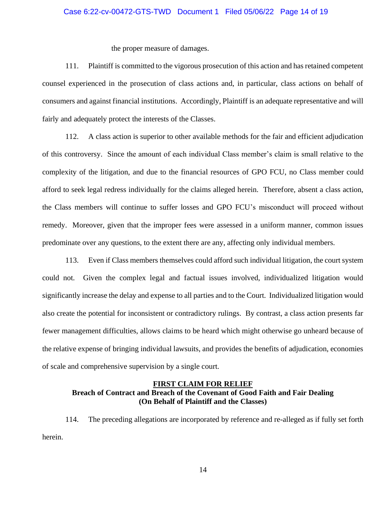### Case 6:22-cv-00472-GTS-TWD Document 1 Filed 05/06/22 Page 14 of 19

the proper measure of damages.

111. Plaintiff is committed to the vigorous prosecution of this action and has retained competent counsel experienced in the prosecution of class actions and, in particular, class actions on behalf of consumers and against financial institutions. Accordingly, Plaintiff is an adequate representative and will fairly and adequately protect the interests of the Classes.

112. A class action is superior to other available methods for the fair and efficient adjudication of this controversy. Since the amount of each individual Class member's claim is small relative to the complexity of the litigation, and due to the financial resources of GPO FCU, no Class member could afford to seek legal redress individually for the claims alleged herein. Therefore, absent a class action, the Class members will continue to suffer losses and GPO FCU's misconduct will proceed without remedy. Moreover, given that the improper fees were assessed in a uniform manner, common issues predominate over any questions, to the extent there are any, affecting only individual members.

113. Even if Class members themselves could afford such individual litigation, the court system could not. Given the complex legal and factual issues involved, individualized litigation would significantly increase the delay and expense to all parties and to the Court. Individualized litigation would also create the potential for inconsistent or contradictory rulings. By contrast, a class action presents far fewer management difficulties, allows claims to be heard which might otherwise go unheard because of the relative expense of bringing individual lawsuits, and provides the benefits of adjudication, economies of scale and comprehensive supervision by a single court.

# **FIRST CLAIM FOR RELIEF Breach of Contract and Breach of the Covenant of Good Faith and Fair Dealing (On Behalf of Plaintiff and the Classes)**

114. The preceding allegations are incorporated by reference and re-alleged as if fully set forth herein.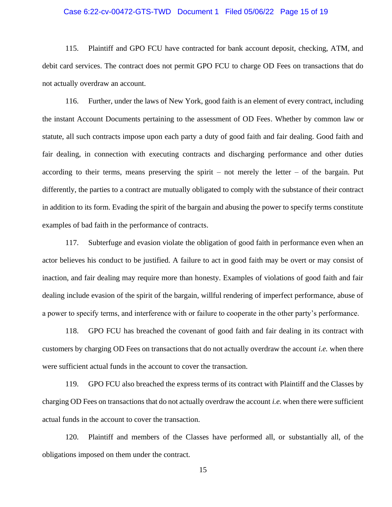### Case 6:22-cv-00472-GTS-TWD Document 1 Filed 05/06/22 Page 15 of 19

115. Plaintiff and GPO FCU have contracted for bank account deposit, checking, ATM, and debit card services. The contract does not permit GPO FCU to charge OD Fees on transactions that do not actually overdraw an account.

116. Further, under the laws of New York, good faith is an element of every contract, including the instant Account Documents pertaining to the assessment of OD Fees. Whether by common law or statute, all such contracts impose upon each party a duty of good faith and fair dealing. Good faith and fair dealing, in connection with executing contracts and discharging performance and other duties according to their terms, means preserving the spirit – not merely the letter – of the bargain. Put differently, the parties to a contract are mutually obligated to comply with the substance of their contract in addition to its form. Evading the spirit of the bargain and abusing the power to specify terms constitute examples of bad faith in the performance of contracts.

117. Subterfuge and evasion violate the obligation of good faith in performance even when an actor believes his conduct to be justified. A failure to act in good faith may be overt or may consist of inaction, and fair dealing may require more than honesty. Examples of violations of good faith and fair dealing include evasion of the spirit of the bargain, willful rendering of imperfect performance, abuse of a power to specify terms, and interference with or failure to cooperate in the other party's performance.

118. GPO FCU has breached the covenant of good faith and fair dealing in its contract with customers by charging OD Fees on transactions that do not actually overdraw the account *i.e.* when there were sufficient actual funds in the account to cover the transaction.

119. GPO FCU also breached the express terms of its contract with Plaintiff and the Classes by charging OD Fees on transactions that do not actually overdraw the account *i.e.* when there were sufficient actual funds in the account to cover the transaction.

120. Plaintiff and members of the Classes have performed all, or substantially all, of the obligations imposed on them under the contract.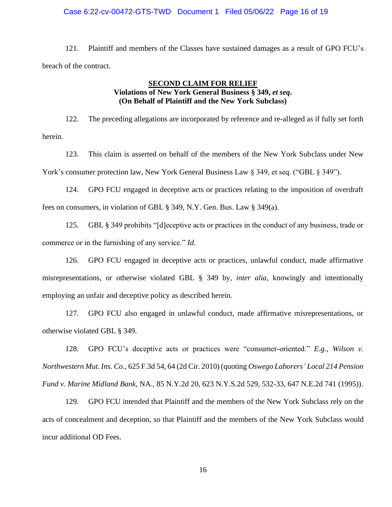### Case 6:22-cv-00472-GTS-TWD Document 1 Filed 05/06/22 Page 16 of 19

121. Plaintiff and members of the Classes have sustained damages as a result of GPO FCU's breach of the contract.

# **SECOND CLAIM FOR RELIEF Violations of New York General Business § 349,** *et seq***. (On Behalf of Plaintiff and the New York Subclass)**

122. The preceding allegations are incorporated by reference and re-alleged as if fully set forth herein.

123. This claim is asserted on behalf of the members of the New York Subclass under New York's consumer protection law, New York General Business Law § 349, et seq. ("GBL § 349").

124. GPO FCU engaged in deceptive acts or practices relating to the imposition of overdraft fees on consumers, in violation of GBL § 349, N.Y. Gen. Bus. Law § 349(a).

125. GBL § 349 prohibits "[d]eceptive acts or practices in the conduct of any business, trade or commerce or in the furnishing of any service." *Id*.

126. GPO FCU engaged in deceptive acts or practices, unlawful conduct, made affirmative misrepresentations, or otherwise violated GBL § 349 by, *inter alia*, knowingly and intentionally employing an unfair and deceptive policy as described herein.

127. GPO FCU also engaged in unlawful conduct, made affirmative misrepresentations, or otherwise violated GBL § 349.

128. GPO FCU's deceptive acts or practices were "consumer-oriented." *E.g., Wilson v. Northwestern Mut. Ins. Co*., 625 F.3d 54, 64 (2d Cir. 2010) (quoting *Oswego Laborers' Local 214 Pension Fund v. Marine Midland Bank*, NA., 85 N.Y.2d 20, 623 N.Y.S.2d 529, 532-33, 647 N.E.2d 741 (1995)).

129. GPO FCU intended that Plaintiff and the members of the New York Subclass rely on the acts of concealment and deception, so that Plaintiff and the members of the New York Subclass would incur additional OD Fees.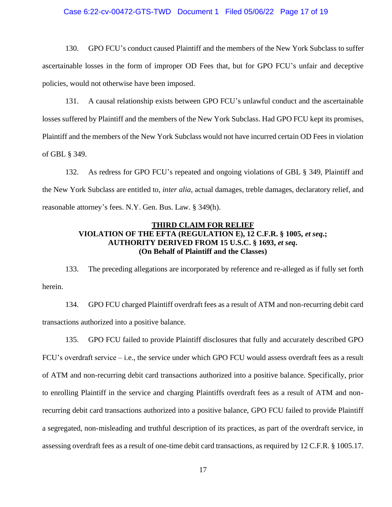### Case 6:22-cv-00472-GTS-TWD Document 1 Filed 05/06/22 Page 17 of 19

130. GPO FCU's conduct caused Plaintiff and the members of the New York Subclass to suffer ascertainable losses in the form of improper OD Fees that, but for GPO FCU's unfair and deceptive policies, would not otherwise have been imposed.

131. A causal relationship exists between GPO FCU's unlawful conduct and the ascertainable losses suffered by Plaintiff and the members of the New York Subclass. Had GPO FCU kept its promises, Plaintiff and the members of the New York Subclass would not have incurred certain OD Fees in violation of GBL § 349.

132. As redress for GPO FCU's repeated and ongoing violations of GBL § 349, Plaintiff and the New York Subclass are entitled to, *inter alia*, actual damages, treble damages, declaratory relief, and reasonable attorney's fees. N.Y. Gen. Bus. Law. § 349(h).

# **THIRD CLAIM FOR RELIEF VIOLATION OF THE EFTA (REGULATION E), 12 C.F.R. § 1005,** *et seq***.; AUTHORITY DERIVED FROM 15 U.S.C. § 1693,** *et seq***. (On Behalf of Plaintiff and the Classes)**

133. The preceding allegations are incorporated by reference and re-alleged as if fully set forth herein.

134. GPO FCU charged Plaintiff overdraft fees as a result of ATM and non-recurring debit card transactions authorized into a positive balance.

135. GPO FCU failed to provide Plaintiff disclosures that fully and accurately described GPO FCU's overdraft service – i.e., the service under which GPO FCU would assess overdraft fees as a result of ATM and non-recurring debit card transactions authorized into a positive balance. Specifically, prior to enrolling Plaintiff in the service and charging Plaintiffs overdraft fees as a result of ATM and nonrecurring debit card transactions authorized into a positive balance, GPO FCU failed to provide Plaintiff a segregated, non-misleading and truthful description of its practices, as part of the overdraft service, in assessing overdraft fees as a result of one-time debit card transactions, as required by 12 C.F.R. § 1005.17.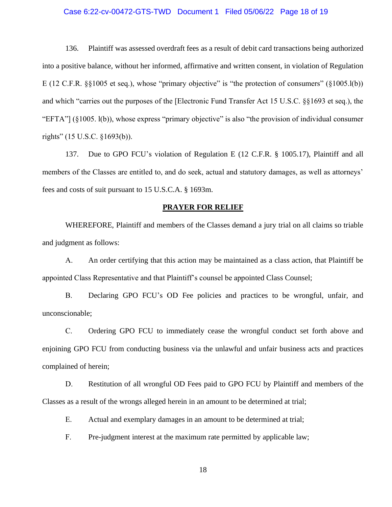### Case 6:22-cv-00472-GTS-TWD Document 1 Filed 05/06/22 Page 18 of 19

136. Plaintiff was assessed overdraft fees as a result of debit card transactions being authorized into a positive balance, without her informed, affirmative and written consent, in violation of Regulation E (12 C.F.R. §§1005 et seq.), whose "primary objective" is "the protection of consumers" (§1005.l(b)) and which "carries out the purposes of the [Electronic Fund Transfer Act 15 U.S.C. §§1693 et seq.), the "EFTA"] (§1005. l(b)), whose express "primary objective" is also "the provision of individual consumer rights" (15 U.S.C. §1693(b)).

137. Due to GPO FCU's violation of Regulation E (12 C.F.R. § 1005.17), Plaintiff and all members of the Classes are entitled to, and do seek, actual and statutory damages, as well as attorneys' fees and costs of suit pursuant to 15 U.S.C.A. § 1693m.

### **PRAYER FOR RELIEF**

WHEREFORE, Plaintiff and members of the Classes demand a jury trial on all claims so triable and judgment as follows:

A. An order certifying that this action may be maintained as a class action, that Plaintiff be appointed Class Representative and that Plaintiff's counsel be appointed Class Counsel;

B. Declaring GPO FCU's OD Fee policies and practices to be wrongful, unfair, and unconscionable;

C. Ordering GPO FCU to immediately cease the wrongful conduct set forth above and enjoining GPO FCU from conducting business via the unlawful and unfair business acts and practices complained of herein;

D. Restitution of all wrongful OD Fees paid to GPO FCU by Plaintiff and members of the Classes as a result of the wrongs alleged herein in an amount to be determined at trial;

E. Actual and exemplary damages in an amount to be determined at trial;

F. Pre-judgment interest at the maximum rate permitted by applicable law;